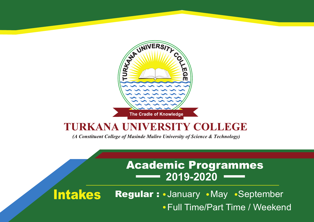

# **TURKANA UNIVERSITY COLLEGE**

(A Constituent College of Masinde Muliro University of Science & Technology)

# Academic Programmes **2019-2020**

Intakes Regular: January May September Full Time/Part Time / Weekend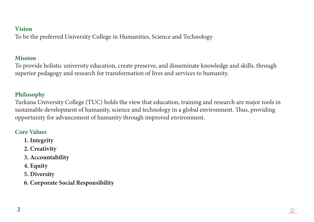#### **Vision**

To be the preferred University College in Humanities, Science and Technology

#### **Mission**

To provide holistic university education, create preserve, and disseminate knowledge and skills, through superior pedagogy and research for transformation of lives and services to humanity.

## **Philosophy**

Turkana University College (TUC) holds the view that education, training and research are major tools in sustainable development of humanity, science and technology in a global environment. Thus, providing opportunity for advancement of humanity through improved environment.

### **Core Values**

- **1. Integrity**
- **2. Creativity**
- **3. Accountability**
- **4. Equity**
- **5. Diversity**
- **6. Corporate Social Responsibility**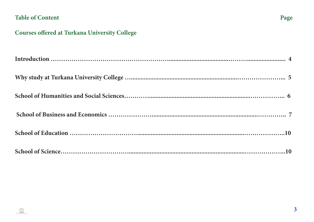## **Table of Content**



## **Courses offered at Turkana University College**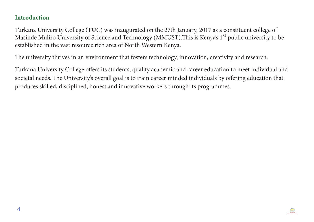#### **Introduction**

Turkana University College (TUC) was inaugurated on the 27th January, 2017 as a constituent college of Masinde Muliro University of Science and Technology (MMUST). This is Kenya's 1<sup>st</sup> public university to be established in the vast resource rich area of North Western Kenya.

The university thrives in an environment that fosters technology, innovation, creativity and research.

Turkana University College offers its students, quality academic and career education to meet individual and societal needs. The University's overall goal is to train career minded individuals by offering education that produces skilled, disciplined, honest and innovative workers through its programmes.

 $\bigoplus$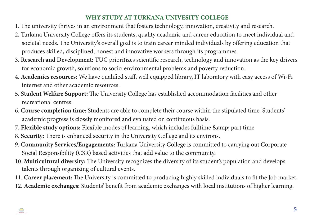## **WHY STUDY AT TURKANA UNIVESITY COLLEGE**

- 1. The university thrives in an environment that fosters technology, innovation, creativity and research.
- 2. Turkana University College offers its students, quality academic and career education to meet individual and societal needs. The University's overall goal is to train career minded individuals by offering education that produces skilled, disciplined, honest and innovative workers through its programmes.
- 3. **Research and Development:** TUC prioritizes scientific research, technology and innovation as the key drivers for economic growth, solutions to socio-environmental problems and poverty reduction.
- 4. **Academics resources:** We have qualified staff, well equipped library, IT laboratory with easy access of Wi-Fi internet and other academic resources.
- 5. **Student Welfare Support:** The University College has established accommodation facilities and other recreational centres.
- 6. **Course completion time:** Students are able to complete their course within the stipulated time. Students' academic progress is closely monitored and evaluated on continuous basis.
- 7. Flexible study options: Flexible modes of learning, which includes fulltime & amp; part time
- 8. **Security:** There is enhanced security in the University College and its environs.
- 9. **Community Services/Engagements:** Turkana University College is committed to carrying out Corporate Social Responsibility (CSR) based activities that add value to the community.
- 10. **Multicultural diversity:** The University recognizes the diversity of its student's population and develops talents through organizing of cultural events.
- 11. **Career placement:** The University is committed to producing highly skilled individuals to fit the Job market.
- 12. **Academic exchanges:** Students' benefit from academic exchanges with local institutions of higher learning.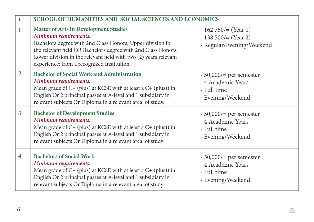| $\mathbf I$             | SCHOOL OF HUMANITIES AND SOCIAL SCIENCES AND ECONOMICS                                                                                                                                                                                                                                                                |                                                                                   |
|-------------------------|-----------------------------------------------------------------------------------------------------------------------------------------------------------------------------------------------------------------------------------------------------------------------------------------------------------------------|-----------------------------------------------------------------------------------|
| 1                       | <b>Master of Arts in Development Studies</b><br>Minimum requirements:<br>Bachelors degree with 2nd Class Honors, Upper division in<br>the relevant field OR Bachelors degree with 2nd Class Honors,<br>Lower division in the relevant field with two (2) years relevant<br>experience; from a recognized Institution. | $-162,750/=(Year 1)$<br>$-138,500/=(Year 2)$<br>- Regular/Evening/Weekend         |
| $\overline{2}$          | <b>Bachelor of Social Work and Administration</b><br>Minimum requirements:<br>Mean grade of $C+$ (plus) at KCSE with at least a $C+$ (plus)) in<br>English Or 2 principal passes at A-level and 1 subsidiary in<br>relevant subjects Or Diploma in a relevant area of study.                                          | $-50,000/$ per semester<br>- 4 Academic Years<br>- Full time<br>- Evening/Weekend |
| $\overline{\mathbf{3}}$ | <b>Bachelor of Development Studies</b><br>Minimum requirements:<br>Mean grade of C+ (plus) at KCSE with at least a C+ (plus)) in<br>English Or 2 principal passes at A-level and 1 subsidiary in<br>relevant subjects Or Diploma in a relevant area of study                                                          | $-50,000/$ per semester<br>- 4 Academic Years<br>- Full time<br>- Evening/Weekend |
| $\boldsymbol{4}$        | <b>Bachelors of Social Work</b><br>Minimum requirements:<br>Mean grade of $C+$ (plus) at KCSE with at least a $C+$ (plus)) in<br>English Or 2 principal passes at A-level and 1 subsidiary in<br>relevant subjects Or Diploma in a relevant area of study                                                             | $-50,000/$ per semester<br>- 4 Academic Years<br>- Full time<br>- Evening/Weekend |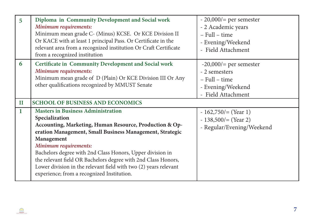| 5            | Diploma in Community Development and Social work<br>Minimum requirements:<br>Minimum mean grade C- (Minus) KCSE. Or KCE Division II<br>Or KACE with at least 1 principal Pass. Or Certificate in the<br>relevant area from a recognized institution Or Craft Certificate<br>from a recognized institution                                                                                                                                                                 | $-20,000/$ per semester<br>- 2 Academic years<br>- Full - time<br>- Evening/Weekend<br>- Field Attachment |
|--------------|---------------------------------------------------------------------------------------------------------------------------------------------------------------------------------------------------------------------------------------------------------------------------------------------------------------------------------------------------------------------------------------------------------------------------------------------------------------------------|-----------------------------------------------------------------------------------------------------------|
| 6            | <b>Certificate in Community Development and Social work</b><br>Minimum requirements:<br>Minimum mean grade of D (Plain) Or KCE Division III Or Any<br>other qualifications recognized by MMUST Senate                                                                                                                                                                                                                                                                     | $-20,000/$ per semester<br>- 2 semesters<br>- Full - time<br>- Evening/Weekend<br>- Field Attachment      |
| $\mathbf{I}$ | <b>SCHOOL OF BUSINESS AND ECONOMICS</b>                                                                                                                                                                                                                                                                                                                                                                                                                                   |                                                                                                           |
| 1            | <b>Masters in Business Administration</b><br>Specialization<br>Accounting, Marketing, Human Resource, Production & Op-<br>eration Management, Small Business Management, Strategic<br>Management<br>Minimum requirements:<br>Bachelors degree with 2nd Class Honors, Upper division in<br>the relevant field OR Bachelors degree with 2nd Class Honors,<br>Lower division in the relevant field with two (2) years relevant<br>experience; from a recognized Institution. | $-162,750/=(Year 1)$<br>$-138,500/=(Year 2)$<br>- Regular/Evening/Weekend                                 |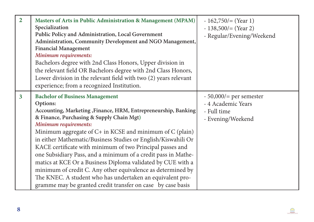| $\overline{2}$          | Masters of Arts in Public Administration & Management (MPAM)<br>Specialization<br>Public Policy and Administration, Local Government<br>Administration, Community Development and NGO Management,<br><b>Financial Management</b><br>Minimum requirements:<br>Bachelors degree with 2nd Class Honors, Upper division in<br>the relevant field OR Bachelors degree with 2nd Class Honors,<br>Lower division in the relevant field with two (2) years relevant<br>experience; from a recognized Institution.                                                                                                                                                                                                       | $-162,750/=(Year 1)$<br>$-138,500/=(Year 2)$<br>- Regular/Evening/Weekend         |
|-------------------------|-----------------------------------------------------------------------------------------------------------------------------------------------------------------------------------------------------------------------------------------------------------------------------------------------------------------------------------------------------------------------------------------------------------------------------------------------------------------------------------------------------------------------------------------------------------------------------------------------------------------------------------------------------------------------------------------------------------------|-----------------------------------------------------------------------------------|
| $\overline{\mathbf{3}}$ | <b>Bachelor of Business Management</b><br>Options:<br>Accounting, Marketing, Finance, HRM, Entrepreneurship, Banking<br>& Finance, Purchasing & Supply Chain Mgt)<br>Minimum requirements:<br>Minimum aggregate of C+ in KCSE and minimum of C (plain)<br>in either Mathematic/Business Studies or English/Kiswahili Or<br>KACE certificate with minimum of two Principal passes and<br>one Subsidiary Pass, and a minimum of a credit pass in Mathe-<br>matics at KCE Or a Business Diploma validated by CUE with a<br>minimum of credit C. Any other equivalence as determined by<br>The KNEC. A student who has undertaken an equivalent pro-<br>gramme may be granted credit transfer on case by case basis | $-50,000/$ per semester<br>- 4 Academic Years<br>- Full time<br>- Evening/Weekend |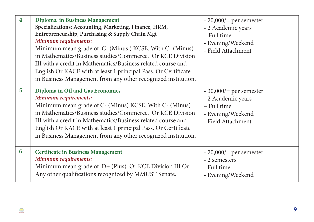| $\overline{\mathbf{4}}$ | Diploma in Business Management<br>Specializations: Accounting, Marketing, Finance, HRM,<br>Entrepreneurship, Purchasing & Supply Chain Mgt<br>Minimum requirements:<br>Minimum mean grade of C- (Minus ) KCSE. With C- (Minus)<br>in Mathematics/Business studies/Commerce. Or KCE Division<br>III with a credit in Mathematics/Business related course and<br>English Or KACE with at least 1 principal Pass. Or Certificate<br>in Business Management from any other recognized institution. | $-20,000/$ per semester<br>- 2 Academic years<br>- Full time<br>- Evening/Weekend<br>- Field Attachment |
|-------------------------|------------------------------------------------------------------------------------------------------------------------------------------------------------------------------------------------------------------------------------------------------------------------------------------------------------------------------------------------------------------------------------------------------------------------------------------------------------------------------------------------|---------------------------------------------------------------------------------------------------------|
| 5                       | Diploma in Oil and Gas Economics<br>Minimum requirements:<br>Minimum mean grade of C- (Minus) KCSE. With C- (Minus)<br>in Mathematics/Business studies/Commerce. Or KCE Division<br>III with a credit in Mathematics/Business related course and<br>English Or KACE with at least 1 principal Pass. Or Certificate<br>in Business Management from any other recognized institution.                                                                                                            | $-30,000/$ per semester<br>- 2 Academic years<br>- Full time<br>- Evening/Weekend<br>- Field Attachment |
| 6                       | <b>Certificate in Business Management</b><br>Minimum requirements:<br>Minimum mean grade of D+ (Plus) Or KCE Division III Or<br>Any other qualifications recognized by MMUST Senate.                                                                                                                                                                                                                                                                                                           | $-20,000/$ per semester<br>- 2 semesters<br>- Full time<br>- Evening/Weekend                            |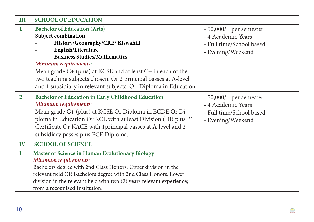| III           | <b>SCHOOL OF EDUCATION</b>                                                                                                                                                                                                                                                                                                                                                                 |                                                                                                |
|---------------|--------------------------------------------------------------------------------------------------------------------------------------------------------------------------------------------------------------------------------------------------------------------------------------------------------------------------------------------------------------------------------------------|------------------------------------------------------------------------------------------------|
| 1             | <b>Bachelor of Education (Arts)</b><br>Subject combination<br>History/Geography/CRE/Kiswahili<br>English/Literature<br><b>Business Studies/Mathematics</b><br>Minimum requirements:<br>Mean grade $C+$ (plus) at KCSE and at least $C+$ in each of the<br>two teaching subjects chosen. Or 2 principal passes at A-level<br>and 1 subsidiary in relevant subjects. Or Diploma in Education | $-50,000/$ per semester<br>- 4 Academic Years<br>- Full time/School based<br>- Evening/Weekend |
| $\mathbf{2}$  | <b>Bachelor of Education in Early Childhood Education</b><br>Minimum requirements:<br>Mean grade C+ (plus) at KCSE Or Diploma in ECDE Or Di-<br>ploma in Education Or KCE with at least Division (III) plus P1<br>Certificate Or KACE with 1 principal passes at A-level and 2<br>subsidiary passes plus ECE Diploma.                                                                      | $-50,000/$ per semester<br>- 4 Academic Years<br>- Full time/School based<br>- Evening/Weekend |
| $\mathbf{IV}$ | <b>SCHOOL OF SCIENCE</b>                                                                                                                                                                                                                                                                                                                                                                   |                                                                                                |
| 1             | <b>Master of Science in Human Evolutionary Biology</b><br>Minimum requirements:<br>Bachelors degree with 2nd Class Honors, Upper division in the<br>relevant field OR Bachelors degree with 2nd Class Honors, Lower<br>division in the relevant field with two (2) years relevant experience;<br>from a recognized Institution.                                                            |                                                                                                |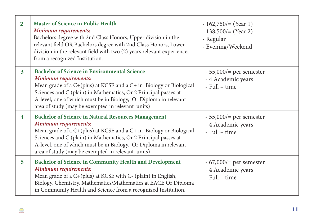| $\overline{2}$ | <b>Master of Science in Public Health</b><br>Minimum requirements:<br>Bachelors degree with 2nd Class Honors, Upper division in the<br>relevant field OR Bachelors degree with 2nd Class Honors, Lower<br>division in the relevant field with two (2) years relevant experience;<br>from a recognized Institution.                                    | $-162,750/=(Year 1)$<br>$-138,500/=(Year 2)$<br>- Regular<br>- Evening/Weekend |
|----------------|-------------------------------------------------------------------------------------------------------------------------------------------------------------------------------------------------------------------------------------------------------------------------------------------------------------------------------------------------------|--------------------------------------------------------------------------------|
| $\overline{3}$ | <b>Bachelor of Science in Environmental Science</b><br>Minimum requirements:<br>Mean grade of a C+(plus) at KCSE and a C+ in Biology or Biological<br>Sciences and C (plain) in Mathematics, Or 2 Principal passes at<br>A-level, one of which must be in Biology, Or Diploma in relevant<br>area of study (may be exempted in relevant units)        | $-55,000/$ per semester<br>- 4 Academic years<br>- Full – time                 |
| 4              | <b>Bachelor of Science in Natural Resources Management</b><br>Minimum requirements:<br>Mean grade of a C+(plus) at KCSE and a C+ in Biology or Biological<br>Sciences and C (plain) in Mathematics, Or 2 Principal passes at<br>A-level, one of which must be in Biology, Or Diploma in relevant<br>area of study (may be exempted in relevant units) | $-55,000/$ per semester<br>- 4 Academic years<br>- Full – time                 |
| 5              | <b>Bachelor of Science in Community Health and Development</b><br>Minimum requirements:<br>Mean grade of a $C+(plus)$ at KCSE with $C-(plain)$ in English,<br>Biology, Chemistry, Mathematics/Mathematics at EACE Or Diploma<br>in Community Health and Science from a recognized Institution.                                                        | $-67,000/$ per semester<br>- 4 Academic years<br>- Full – time                 |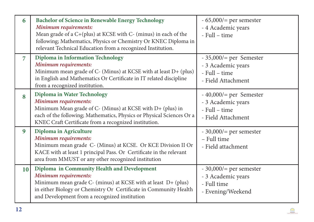| 6              | <b>Bachelor of Science in Renewable Energy Technology</b><br>Minimum requirements:<br>Mean grade of a C+(plus) at KCSE with C- (minus) in each of the<br>following; Mathematics, Physics or Chemistry Or KNEC Diploma in<br>relevant Technical Education from a recognized Institution. | $-65,000/$ per semester<br>- 4 Academic years<br>- Full – time                        |
|----------------|-----------------------------------------------------------------------------------------------------------------------------------------------------------------------------------------------------------------------------------------------------------------------------------------|---------------------------------------------------------------------------------------|
| $\overline{7}$ | Diploma in Information Technology<br>Minimum requirements:<br>Minimum mean grade of C- (Minus) at KCSE with at least D+ (plus)<br>in English and Mathematics Or Certificate in IT related discipline<br>from a recognized institution.                                                  | $-35,000/=$ per Semester<br>- 3 Academic years<br>- Full – time<br>- Field Attachment |
| 8              | <b>Diploma in Water Technology</b><br>Minimum requirements:<br>Minimum Mean grade of C- (Minus) at KCSE with D+ (plus) in<br>each of the following; Mathematics, Physics or Physical Sciences Or a<br>KNEC Craft Certificate from a recognized institution.                             | $-40,000/=$ per Semester<br>- 3 Academic years<br>- Full – time<br>- Field Attachment |
| 9              | Diploma in Agriculture<br>Minimum requirements:<br>Minimum mean grade C- (Minus) at KCSE. Or KCE Division II Or<br>KACE with at least 1 principal Pass. Or Certificate in the relevant<br>area from MMUST or any other recognized institution                                           | $-30,000/$ per semester<br>- Full time<br>- Field attachment                          |
| 10             | Diploma in Community Health and Development<br>Minimum requirements:<br>Minimum mean grade C- (minus) at KCSE with at least D+ (plus)<br>in either Biology or Chemistry Or Certificate in Community Health<br>and Development from a recognized institution                             | $-30,000/$ per semester<br>- 3 Academic years<br>- Full time<br>- Evening/Weekend     |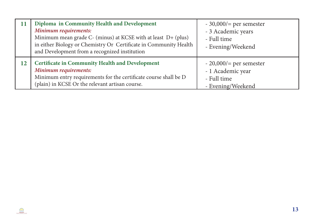|    | Diploma in Community Health and Development<br>Minimum requirements:<br>Minimum mean grade $C$ - (minus) at KCSE with at least $D$ + (plus)<br>in either Biology or Chemistry Or Certificate in Community Health<br>and Development from a recognized institution | $-30,000/$ per semester<br>- 3 Academic years<br>- Full time<br>- Evening/Weekend |
|----|-------------------------------------------------------------------------------------------------------------------------------------------------------------------------------------------------------------------------------------------------------------------|-----------------------------------------------------------------------------------|
| 12 | <b>Certificate in Community Health and Development</b><br>Minimum requirements:<br>Minimum entry requirements for the certificate course shall be D<br>(plain) in KCSE Or the relevant artisan course.                                                            | $-20,000/$ per semester<br>- 1 Academic year<br>- Full time<br>- Evening/Weekend  |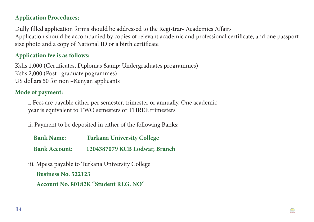### **Application Procedures;**

Dully filled application forms should be addressed to the Registrar- Academics Affairs Application should be accompanied by copies of relevant academic and professional certificate, and one passport size photo and a copy of National ID or a birth certificate

### **Application fee is as follows:**

Kshs 1,000 (Certificates, Diplomas & amp; Undergraduates programmes) Kshs 2,000 (Post –graduate pogrammes) US dollars 50 for non –Kenyan applicants

#### **Mode of payment:**

i. Fees are payable either per semester, trimester or annually. One academic year is equivalent to TWO semesters or THREE trimesters

ii. Payment to be deposited in either of the following Banks:

| <b>Bank Name:</b>    | <b>Turkana University College</b> |
|----------------------|-----------------------------------|
| <b>Bank Account:</b> | 1204387079 KCB Lodwar, Branch     |

iii. Mpesa payable to Turkana University College  **Business No. 522123 Account No. 80182K "Student REG. NO"**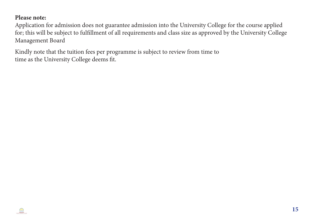#### **Please note:**

Application for admission does not guarantee admission into the University College for the course applied for; this will be subject to fulfillment of all requirements and class size as approved by the University College Management Board

Kindly note that the tuition fees per programme is subject to review from time to time as the University College deems fit.